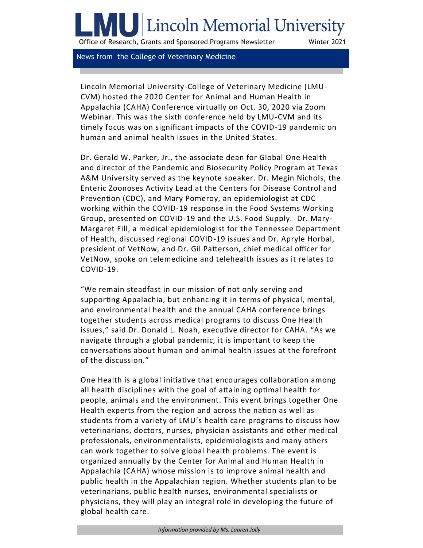# Lincoln Memorial University

Office of Research, Grants and Sponsored Programs Newsletter Winter 2021

News from the College of Veterinary Medicine

Lincoln Memorial University-College of Veterinary Medicine (LMU-CVM) hosted the 2020 Center for Animal and Human Health in Appalachia (CAHA) Conference virtually on Oct. 30, 2020 via Zoom Webinar. This was the sixth conference held by LMU-CVM and its timely focus was on significant impacts of the COVID-19 pandemic on human and animal health issues in the United States.

Dr. Gerald W. Parker, Jr., the associate dean for Global One Health and director of the Pandemic and Biosecurity Policy Program at Texas A&M University served as the keynote speaker. Dr. Megin Nichols, the Enteric Zoonoses Activity Lead at the Centers for Disease Control and Prevention (CDC), and Mary Pomeroy, an epidemiologist at CDC working within the COVID-19 response in the Food Systems Working Group, presented on COVID-19 and the U.S. Food Supply. Dr. Mary-Margaret Fill, a medical epidemiologist for the Tennessee Department of Health, discussed regional COVID-19 issues and Dr. Apryle Horbal, president of VetNow, and Dr. Gil Patterson, chief medical officer for VetNow, spoke on telemedicine and telehealth issues as it relates to COVID-19.

"We remain steadfast in our mission of not only serving and supporting Appalachia, but enhancing it in terms of physical, mental, and environmental health and the annual CAHA conference brings together students across medical programs to discuss One Health issues," said Dr. Donald L. Noah, executive director for CAHA. "As we navigate through a global pandemic, it is important to keep the conversations about human and animal health issues at the forefront of the discussion."

One Health is a global initiative that encourages collaboration among all health disciplines with the goal of attaining optimal health for people, animals and the environment. This event brings together One Health experts from the region and across the nation as well as students from a variety of LMU's health care programs to discuss how veterinarians, doctors, nurses, physician assistants and other medical professionals, environmentalists, epidemiologists and many others can work together to solve global health problems. The event is organized annually by the Center for Animal and Human Health in Appalachia (CAHA) whose mission is to improve animal health and public health in the Appalachian region. Whether students plan to be veterinarians, public health nurses, environmental specialists or physicians, they will play an integral role in developing the future of global health care.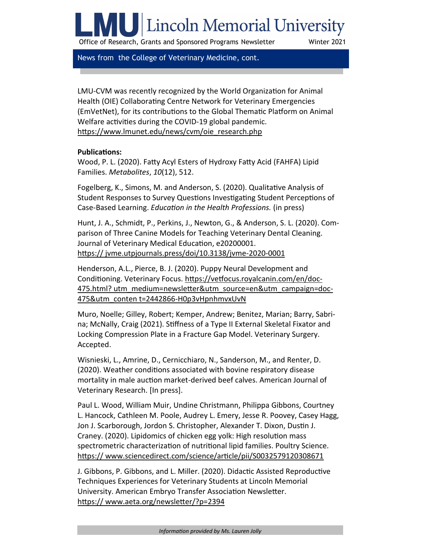# <span id="page-1-0"></span>**ILL** Lincoln Memorial University

Office of Research, Grants and Sponsored Programs Newsletter Winter 2021

News from the College of Veterinary Medicine, cont.

LMU-CVM was recently recognized by the World Organization for Animal Health (OIE) Collaborating Centre Network for Veterinary Emergencies (EmVetNet), for its contributions to the Global Thematic Platform on Animal Welfare activities during the COVID-19 global pandemic. [https://www.lmunet.edu/news/cvm/oie\\_research.php](#page-1-0)

#### **Publications:**

Wood, P. L. (2020). Fatty Acyl Esters of Hydroxy Fatty Acid (FAHFA) Lipid Families. *Metabolites*, *10*(12), 512.

Fogelberg, K., Simons, M. and Anderson, S. (2020). Qualitative Analysis of Student Responses to Survey Questions Investigating Student Perceptions of Case-Based Learning. *Education in the Health Professions.* (in press)

Hunt, J. A., Schmidt, P., Perkins, J., Newton, G., & Anderson, S. L. (2020). Comparison of Three Canine Models for Teaching Veterinary Dental Cleaning. Journal of Veterinary Medical Education, e20200001. [https:// jvme.utpjournals.press/doi/10.3138/jvme](https://nam12.safelinks.protection.outlook.com/?url=https%3A%2F%2Fjvme.utpjournals.press%2Fdoi%2F10.3138%2Fjvme-2020-0001&data=04%7C01%7CCarolyn.Gulley%40lmunet.edu%7C94c6bef9a6034489978b08d8b3cfe638%7Cd3ef1a875daf4bdfa11b40412f4a2b3c%7C0%7C0%7C63745705279918)-2020-0001

Henderson, A.L., Pierce, B. J. (2020). Puppy Neural Development and Conditioning. Veterinary Focus. [https://vetfocus.royalcanin.com/en/doc](https://nam12.safelinks.protection.outlook.com/?url=https%3A%2F%2Fvetfocus.royalcanin.com%2Fen%2Fdoc-475.html%3Futm_medium%3Dnewsletter%26utm_source%3Den%26utm_campaign%3Ddoc-475%26utm_content%3D2442866-H0p3vHpnhmvxUvN&data=04%7C01%7CCarolyn.Gulley%40lmunet.e)-[475.html? utm\\_medium=newsletter&utm\\_source=en&utm\\_campaign=doc](https://nam12.safelinks.protection.outlook.com/?url=https%3A%2F%2Fvetfocus.royalcanin.com%2Fen%2Fdoc-475.html%3Futm_medium%3Dnewsletter%26utm_source%3Den%26utm_campaign%3Ddoc-475%26utm_content%3D2442866-H0p3vHpnhmvxUvN&data=04%7C01%7CCarolyn.Gulley%40lmunet.e)-[475&utm\\_conten t=2442866](https://nam12.safelinks.protection.outlook.com/?url=https%3A%2F%2Fvetfocus.royalcanin.com%2Fen%2Fdoc-475.html%3Futm_medium%3Dnewsletter%26utm_source%3Den%26utm_campaign%3Ddoc-475%26utm_content%3D2442866-H0p3vHpnhmvxUvN&data=04%7C01%7CCarolyn.Gulley%40lmunet.e)-H0p3vHpnhmvxUvN

Muro, Noelle; Gilley, Robert; Kemper, Andrew; Benitez, Marian; Barry, Sabrina; McNally, Craig (2021). Stiffness of a Type II External Skeletal Fixator and Locking Compression Plate in a Fracture Gap Model. Veterinary Surgery. Accepted.

Wisnieski, L., Amrine, D., Cernicchiaro, N., Sanderson, M., and Renter, D. (2020). Weather conditions associated with bovine respiratory disease mortality in male auction market-derived beef calves. American Journal of Veterinary Research. [In press].

Paul L. Wood, William Muir, Undine Christmann, Philippa Gibbons, Courtney L. Hancock, Cathleen M. Poole, Audrey L. Emery, Jesse R. Poovey, Casey Hagg, Jon J. Scarborough, Jordon S. Christopher, Alexander T. Dixon, Dustin J. Craney. (2020). Lipidomics of chicken egg yolk: High resolution mass spectrometric characterization of nutritional lipid families. Poultry Science. [https:// www.sciencedirect.com/science/article/pii/S0032579120308671](https://nam12.safelinks.protection.outlook.com/?url=https%3A%2F%2Fwww.sciencedirect.com%2Fscience%2Farticle%2Fpii%2FS0032579120308671&data=04%7C01%7CCarolyn.Gulley%40lmunet.edu%7C94c6bef9a6034489978b08d8b3cfe638%7Cd3ef1a875daf4bdfa11b40412f4a2b3c%7C0%7C0%7C63)

J. Gibbons, P. Gibbons, and L. Miller. (2020). Didactic Assisted Reproductive Techniques Experiences for Veterinary Students at Lincoln Memorial University. American Embryo Transfer Association Newsletter. [https:// www.aeta.org/newsletter/?p=2394](https://nam12.safelinks.protection.outlook.com/?url=https%3A%2F%2Fwww.aeta.org%2Fnewsletter%2F%3Fp%3D2394&data=04%7C01%7CCarolyn.Gulley%40lmunet.edu%7C94c6bef9a6034489978b08d8b3cfe638%7Cd3ef1a875daf4bdfa11b40412f4a2b3c%7C0%7C0%7C637457052799209782%7CUnknown%7)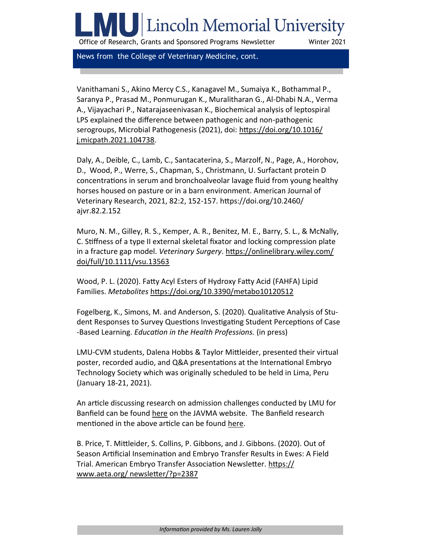# Lincoln Memorial University

Office of Research, Grants and Sponsored Programs Newsletter Winter 2021

News from the College of Veterinary Medicine, cont.

Vanithamani S., Akino Mercy C.S., Kanagavel M., Sumaiya K., Bothammal P., Saranya P., Prasad M., Ponmurugan K., Muralitharan G., Al-Dhabi N.A., Verma A., Vijayachari P., Natarajaseenivasan K., Biochemical analysis of leptospiral LPS explained the difference between pathogenic and non-pathogenic serogroups, Microbial Pathogenesis (2021), doi: [https://doi.org/10.1016/](https://nam12.safelinks.protection.outlook.com/?url=https%3A%2F%2Fdoi.org%2F10.1016%2Fj.micpath.2021.104738&data=04%7C01%7CCarolyn.Gulley%40lmunet.edu%7C49337f0086304d4e483508d8cde0ac74%7Cd3ef1a875daf4bdfa11b40412f4a2b3c%7C0%7C0%7C637485712173180123%7CUnknown) [j.micpath.2021.104738.](https://nam12.safelinks.protection.outlook.com/?url=https%3A%2F%2Fdoi.org%2F10.1016%2Fj.micpath.2021.104738&data=04%7C01%7CCarolyn.Gulley%40lmunet.edu%7C49337f0086304d4e483508d8cde0ac74%7Cd3ef1a875daf4bdfa11b40412f4a2b3c%7C0%7C0%7C637485712173180123%7CUnknown)

Daly, A., Deible, C., Lamb, C., Santacaterina, S., Marzolf, N., Page, A., Horohov, D., Wood, P., Werre, S., Chapman, S., Christmann, U. Surfactant protein D concentrations in serum and bronchoalveolar lavage fluid from young healthy horses housed on pasture or in a barn environment. American Journal of Veterinary Research, 2021, 82:2, 152-157. [https://doi.org/10.2460/](https://nam12.safelinks.protection.outlook.com/?url=https%3A%2F%2Fdoi.org%2F10.2460%2Fajvr.82.2.152&data=04%7C01%7CCarolyn.Gulley%40lmunet.edu%7C49337f0086304d4e483508d8cde0ac74%7Cd3ef1a875daf4bdfa11b40412f4a2b3c%7C0%7C0%7C637485712173190116%7CUnknown%7CTWFpb) [ajvr.82.2.152](https://nam12.safelinks.protection.outlook.com/?url=https%3A%2F%2Fdoi.org%2F10.2460%2Fajvr.82.2.152&data=04%7C01%7CCarolyn.Gulley%40lmunet.edu%7C49337f0086304d4e483508d8cde0ac74%7Cd3ef1a875daf4bdfa11b40412f4a2b3c%7C0%7C0%7C637485712173190116%7CUnknown%7CTWFpb)

Muro, N. M., Gilley, R. S., Kemper, A. R., Benitez, M. E., Barry, S. L., & McNally, C. Stiffness of a type II external skeletal fixator and locking compression plate in a fracture gap model. *Veterinary Surgery*. [https://onlinelibrary.wiley.com/](https://nam12.safelinks.protection.outlook.com/?url=https%3A%2F%2Fonlinelibrary.wiley.com%2Fdoi%2Ffull%2F10.1111%2Fvsu.13563&data=04%7C01%7CCarolyn.Gulley%40lmunet.edu%7C49337f0086304d4e483508d8cde0ac74%7Cd3ef1a875daf4bdfa11b40412f4a2b3c%7C0%7C0%7C63748571217) [doi/full/10.1111/vsu.13563](https://nam12.safelinks.protection.outlook.com/?url=https%3A%2F%2Fonlinelibrary.wiley.com%2Fdoi%2Ffull%2F10.1111%2Fvsu.13563&data=04%7C01%7CCarolyn.Gulley%40lmunet.edu%7C49337f0086304d4e483508d8cde0ac74%7Cd3ef1a875daf4bdfa11b40412f4a2b3c%7C0%7C0%7C63748571217)

Wood, P. L. (2020). Fatty Acyl Esters of Hydroxy Fatty Acid (FAHFA) Lipid Families. *Metabolites* [https://doi.org/10.3390/metabo10120512](https://nam12.safelinks.protection.outlook.com/?url=https%3A%2F%2Fdoi.org%2F10.3390%2Fmetabo10120512&data=04%7C01%7CCarolyn.Gulley%40lmunet.edu%7C49337f0086304d4e483508d8cde0ac74%7Cd3ef1a875daf4bdfa11b40412f4a2b3c%7C0%7C0%7C637485712173200109%7CUnknown%7CTWFp)

Fogelberg, K., Simons, M. and Anderson, S. (2020). Qualitative Analysis of Student Responses to Survey Questions Investigating Student Perceptions of Case -Based Learning. *Education in the Health Professions.* (in press)

LMU-CVM students, Dalena Hobbs & Taylor Mittleider, presented their virtual poster, recorded audio, and Q&A presentations at the International Embryo Technology Society which was originally scheduled to be held in Lima, Peru (January 18-21, 2021).

An article discussing research on admission challenges conducted by LMU for Banfield can be found [here](https://nam12.safelinks.protection.outlook.com/?url=https%3A%2F%2Fwww.avma.org%2Fjavma-news%2F2021-02-15%2Fpotential-veterinary-students-face-layered-admission-challenges&data=04%7C01%7CCarolyn.Gulley%40lmunet.edu%7C49337f0086304d4e483508d8cde0ac74%7Cd3ef1a87) on the JAVMA website. The Banfield research mentioned in the above article can be found here.

B. Price, T. Mittleider, S. Collins, P. Gibbons, and J. Gibbons. (2020). Out of Season Artificial Insemination and Embryo Transfer Results in Ewes: A Field Trial. American Embryo Transfer Association Newsletter. [https://](https://nam12.safelinks.protection.outlook.com/?url=https%3A%2F%2Fwww.aeta.org%2Fnewsletter%2F%3Fp%3D2387&data=04%7C01%7CCarolyn.Gulley%40lmunet.edu%7C94c6bef9a6034489978b08d8b3cfe638%7Cd3ef1a875daf4bdfa11b40412f4a2b3c%7C0%7C0%7C637457052799219775%7CUnknown%7) [www.aeta.org/ newsletter/?p=2387](https://nam12.safelinks.protection.outlook.com/?url=https%3A%2F%2Fwww.aeta.org%2Fnewsletter%2F%3Fp%3D2387&data=04%7C01%7CCarolyn.Gulley%40lmunet.edu%7C94c6bef9a6034489978b08d8b3cfe638%7Cd3ef1a875daf4bdfa11b40412f4a2b3c%7C0%7C0%7C637457052799219775%7CUnknown%7)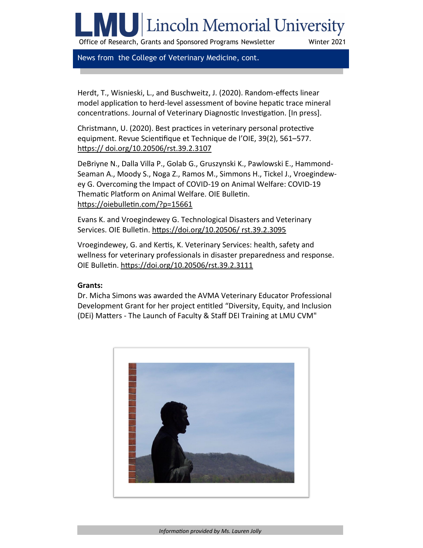# **U** Lincoln Memorial University

Office of Research, Grants and Sponsored Programs Newsletter Winter 2021

News from the College of Veterinary Medicine, cont.

Herdt, T., Wisnieski, L., and Buschweitz, J. (2020). Random-effects linear model application to herd-level assessment of bovine hepatic trace mineral concentrations. Journal of Veterinary Diagnostic Investigation. [In press].

Christmann, U. (2020). Best practices in veterinary personal protective equipment. Revue Scientifique et Technique de l'OIE, 39(2), 561–577. [https:// doi.org/10.20506/rst.39.2.3107](https://nam12.safelinks.protection.outlook.com/?url=https%3A%2F%2Fdoi.org%2F10.20506%2Frst.39.2.3107&data=04%7C01%7CCarolyn.Gulley%40lmunet.edu%7C94c6bef9a6034489978b08d8b3cfe638%7Cd3ef1a875daf4bdfa11b40412f4a2b3c%7C0%7C0%7C637457052799219775%7CUnknown%7CTWFp)

DeBriyne N., Dalla Villa P., Golab G., Gruszynski K., Pawlowski E., Hammond-Seaman A., Moody S., Noga Z., Ramos M., Simmons H., Tickel J., Vroegindewey G. Overcoming the Impact of COVID-19 on Animal Welfare: COVID-19 Thematic Platform on Animal Welfare. OIE Bulletin. [https://oiebulletin.com/?p=15661](https://nam12.safelinks.protection.outlook.com/?url=https%3A%2F%2Foiebulletin.com%2F%3Fp%3D15661&data=04%7C01%7CCarolyn.Gulley%40lmunet.edu%7C94c6bef9a6034489978b08d8b3cfe638%7Cd3ef1a875daf4bdfa11b40412f4a2b3c%7C0%7C0%7C637457052799229765%7CUnknown%7CTWFpbGZs)

Evans K. and Vroegindewey G. Technological Disasters and Veterinary Services. OIE Bulletin. [https://doi.org/10.20506/ rst.39.2.3095](https://nam12.safelinks.protection.outlook.com/?url=https%3A%2F%2Fdoi.org%2F10.20506%2Frst.39.2.3095&data=04%7C01%7CCarolyn.Gulley%40lmunet.edu%7C94c6bef9a6034489978b08d8b3cfe638%7Cd3ef1a875daf4bdfa11b40412f4a2b3c%7C0%7C0%7C637457052799229765%7CUnknown%7CTWFp)

Vroegindewey, G. and Kertis, K. Veterinary Services: health, safety and wellness for veterinary professionals in disaster preparedness and response. OIE Bulletin. [https://doi.org/10.20506/rst.39.2.3111](https://nam12.safelinks.protection.outlook.com/?url=https%3A%2F%2Fdoi.org%2F10.20506%2Frst.39.2.3111&data=04%7C01%7CCarolyn.Gulley%40lmunet.edu%7C94c6bef9a6034489978b08d8b3cfe638%7Cd3ef1a875daf4bdfa11b40412f4a2b3c%7C0%7C0%7C637457052799239760%7CUnknown%7CTWFp)

#### **Grants:**

Dr. Micha Simons was awarded the AVMA Veterinary Educator Professional Development Grant for her project entitled "Diversity, Equity, and Inclusion (DEi) Matters - The Launch of Faculty & Staff DEI Training at LMU CVM"

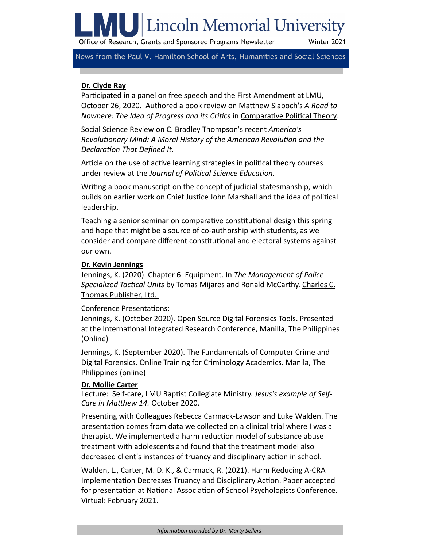# **IV** Lincoln Memorial University

Office of Research, Grants and Sponsored Programs Newsletter Winter 2021

News from the Paul V. Hamilton School of Arts, Humanities and Social Sciences

## **Dr. Clyde Ray**

Participated in a panel on free speech and the First Amendment at LMU, October 26, 2020. Authored a book review on Matthew Slaboch's *A Road to Nowhere: The Idea of Progress and its Critics* in [Comparative Political Theory.](https://nam12.safelinks.protection.outlook.com/?url=https%3A%2F%2Fbrill.com%2Fview%2Fjournals%2Fcpt%2Fcpt-overview.xml&data=04%7C01%7CMaryAnn.Thrush%40lmunet.edu%7Cbfb3ae78ce3b435f95ba08d876b3f9b2%7Cd3ef1a875daf4bdfa11b40412f4a2b3c%7C0%7C0%7C63738986264943360)

Social Science Review on C. Bradley Thompson's recent *America's Revolutionary Mind: A Moral History of the American Revolution and the Declaration That Defined It.* 

Article on the use of active learning strategies in political theory courses under review at the *Journal of Political Science Education*.

Writing a book manuscript on the concept of judicial statesmanship, which builds on earlier work on Chief Justice John Marshall and the idea of political leadership.

Teaching a senior seminar on comparative constitutional design this spring and hope that might be a source of co-authorship with students, as we consider and compare different constitutional and electoral systems against our own.

#### **Dr. Kevin Jennings**

Jennings, K. (2020). Chapter 6: Equipment. In *The Management of Police Specialized Tactical Units* by Tomas Mijares and Ronald McCarthy. Charles C. Thomas Publisher, Ltd.

#### Conference Presentations:

Jennings, K. (October 2020). Open Source Digital Forensics Tools. Presented at the International Integrated Research Conference, Manilla, The Philippines (Online)

Jennings, K. (September 2020). The Fundamentals of Computer Crime and Digital Forensics. Online Training for Criminology Academics. Manila, The Philippines (online)

#### **Dr. Mollie Carter**

Lecture: Self-care, LMU Baptist Collegiate Ministry. *Jesus's example of Self-Care in Matthew 14.* October 2020.

Presenting with Colleagues Rebecca Carmack-Lawson and Luke Walden. The presentation comes from data we collected on a clinical trial where I was a therapist. We implemented a harm reduction model of substance abuse treatment with adolescents and found that the treatment model also decreased client's instances of truancy and disciplinary action in school.

Walden, L., Carter, M. D. K., & Carmack, R. (2021). Harm Reducing A-CRA Implementation Decreases Truancy and Disciplinary Action. Paper accepted for presentation at National Association of School Psychologists Conference. Virtual: February 2021.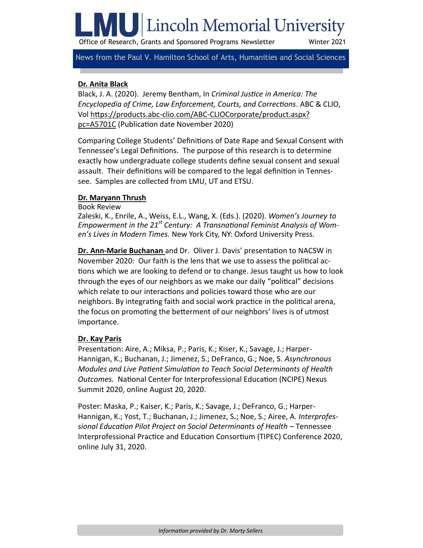# Lincoln Memorial University

Office of Research, Grants and Sponsored Programs Newsletter Winter 2021

News from the Paul V. Hamilton School of Arts, Humanities and Social Sciences

## **Dr. Anita Black**

Black, J. A. (2020). Jeremy Bentham, In *Criminal Justice in America: The Encyclopedia of Crime, Law Enforcement, Courts, and Corrections*. ABC & CLIO, Vol https://products.abc-clio.com/ABC-[CLIOCorporate/product.aspx?](https://nam12.safelinks.protection.outlook.com/?url=https%3A%2F%2Fproducts.abc-clio.com%2FABC-CLIOCorporate%2Fproduct.aspx%3Fpc%3DA5701C&data=04%7C01%7CMaryAnn.Thrush%40lmunet.edu%7C29b82e4b6857495f137d08d875cedc15%7Cd3ef1a875daf4bdfa11b40412f4a2b3c%7C0%7C0%7) [pc=A5701C](https://nam12.safelinks.protection.outlook.com/?url=https%3A%2F%2Fproducts.abc-clio.com%2FABC-CLIOCorporate%2Fproduct.aspx%3Fpc%3DA5701C&data=04%7C01%7CMaryAnn.Thrush%40lmunet.edu%7C29b82e4b6857495f137d08d875cedc15%7Cd3ef1a875daf4bdfa11b40412f4a2b3c%7C0%7C0%7) (Publication date November 2020)

Comparing College Students' Definitions of Date Rape and Sexual Consent with Tennessee's Legal Definitions. The purpose of this research is to determine exactly how undergraduate college students define sexual consent and sexual assault. Their definitions will be compared to the legal definition in Tennessee. Samples are collected from LMU, UT and ETSU.

#### **Dr. Maryann Thrush**

Book Review

Zaleski, K., Enrile, A., Weiss, E.L., Wang, X. (Eds.). (2020). *Women's Journey to Empowerment in the 21st Century: A Transnational Feminist Analysis of Women's Lives in Modern Times.* New York City, NY: Oxford University Press.

**Dr. Ann-Marie Buchanan** and Dr. Oliver J. Davis' presentation to NACSW in November 2020: Our faith is the lens that we use to assess the political actions which we are looking to defend or to change. Jesus taught us how to look through the eyes of our neighbors as we make our daily "political" decisions which relate to our interactions and policies toward those who are our neighbors. By integrating faith and social work practice in the political arena, the focus on promoting the betterment of our neighbors' lives is of utmost importance.

# **Dr. Kay Paris**

Presentation: Aire, A.; Miksa, P.; Paris, K.; Kiser, K.; Savage, J.; Harper-Hannigan, K.; Buchanan, J.; Jimenez, S.; DeFranco, G.; Noe, S. *Asynchronous Modules and Live Patient Simulation to Teach Social Determinants of Health Outcomes.* National Center for Interprofessional Education (NCIPE) Nexus Summit 2020, online August 20, 2020.

Poster: Maska, P.; Kaiser, K.; Paris, K.; Savage, J.; DeFranco, G.; Harper-Hannigan, K.; Yost, T.; Buchanan, J.; Jimenez, S**.**; Noe, S.; Airee, A. *Interprofessional Education Pilot Project on Social Determinants of Health* – Tennessee Interprofessional Practice and Education Consortium (TIPEC) Conference 2020, online July 31, 2020.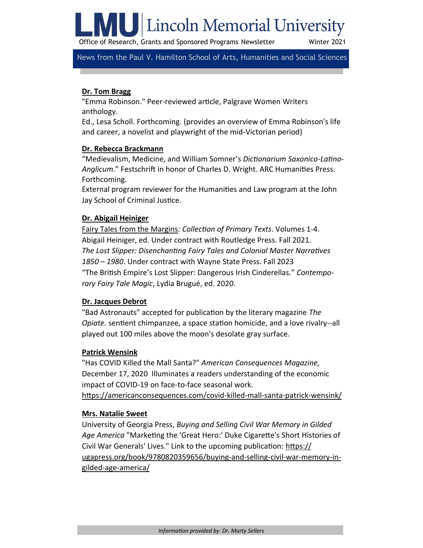

Office of Research, Grants and Sponsored Programs Newsletter Winter 2021

News from the Paul V. Hamilton School of Arts, Humanities and Social Sciences

## **Dr. Tom Bragg**

"Emma Robinson." Peer-reviewed article, Palgrave Women Writers anthology.

Ed., Lesa Scholl. Forthcoming. (provides an overview of Emma Robinson's life and career, a novelist and playwright of the mid-Victorian period)

#### **Dr. Rebecca Brackmann**

"Medievalism, Medicine, and William Somner's *Dictionarium Saxonico-Latino-Anglicum*." Festschrift in honor of Charles D. Wright. ARC Humanities Press. Forthcoming.

External program reviewer for the Humanities and Law program at the John Jay School of Criminal Justice.

### **Dr. Abigail Heiniger**

Fairy Tales from the Margins*: Collection of Primary Texts*. Volumes 1-4. Abigail Heiniger, ed. Under contract with Routledge Press. Fall 2021. *The Lost Slipper: Disenchanting Fairy Tales and Colonial Master Narratives 1850 – 1980*. Under contract with Wayne State Press. Fall 2023 "The British Empire's Lost Slipper: Dangerous Irish Cinderellas." *Contemporary Fairy Tale Magic*, Lydia Brugué, ed. 2020.

#### **Dr. Jacques Debrot**

"Bad Astronauts" accepted for publication by the literary magazine *The Opiate.* sentient chimpanzee, a space station homicide, and a love rivalry--all played out 100 miles above the moon's desolate gray surface.

#### **Patrick Wensink**

"Has COVID Killed the Mall Santa?" *American Consequences Magazine,*  December 17, 2020 Illuminates a readers understanding of the economic impact of COVID-19 on face-to-face seasonal work.

[https://americanconsequences.com/covid](https://americanconsequences.com/covid-killed-mall-santa-patrick-wensink/)-killed-mall-santa-patrick-wensink/

#### **Mrs. Natalie Sweet**

University of Georgia Press, *Buying and Selling Civil War Memory in Gilded Age America* "Marketing the 'Great Hero:' Duke Cigarette's Short Histories of Civil War Generals' Lives." Link to the upcoming publication: [https://](https://nam12.safelinks.protection.outlook.com/?url=https%3A%2F%2Fugapress.org%2Fbook%2F9780820359656%2Fbuying-and-selling-civil-war-memory-in-gilded-age-america%2F&data=04%7C01%7CMartin.Sellers%40lmunet.edu%7C419e2e69e62f4431ddf208d8b1bd26b3%7Cd3ef1a875daf4b) [ugapress.org/book/9780820359656/buying](https://nam12.safelinks.protection.outlook.com/?url=https%3A%2F%2Fugapress.org%2Fbook%2F9780820359656%2Fbuying-and-selling-civil-war-memory-in-gilded-age-america%2F&data=04%7C01%7CMartin.Sellers%40lmunet.edu%7C419e2e69e62f4431ddf208d8b1bd26b3%7Cd3ef1a875daf4b)-and-selling-civil-war-memory-ingilded-age-[america/](https://nam12.safelinks.protection.outlook.com/?url=https%3A%2F%2Fugapress.org%2Fbook%2F9780820359656%2Fbuying-and-selling-civil-war-memory-in-gilded-age-america%2F&data=04%7C01%7CMartin.Sellers%40lmunet.edu%7C419e2e69e62f4431ddf208d8b1bd26b3%7Cd3ef1a875daf4b)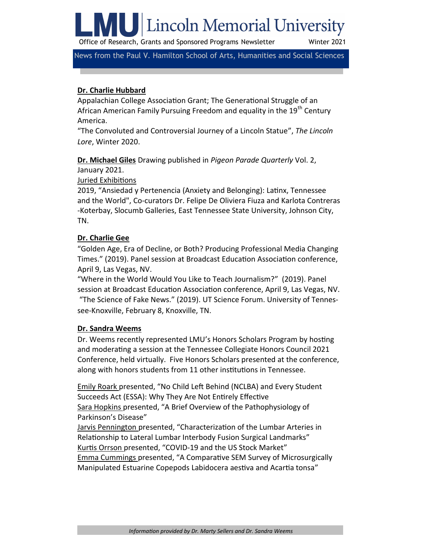**ILL** Lincoln Memorial University

Office of Research, Grants and Sponsored Programs Newsletter Winter 2021

News from the Paul V. Hamilton School of Arts, Humanities and Social Sciences

### **Dr. Charlie Hubbard**

Appalachian College Association Grant; The Generational Struggle of an African American Family Pursuing Freedom and equality in the 19<sup>th</sup> Century America.

"The Convoluted and Controversial Journey of a Lincoln Statue", *The Lincoln Lore*, Winter 2020.

**Dr. Michael Giles** Drawing published in *Pigeon Parade Quarterly* Vol. 2,

January 2021.

Juried Exhibitions

2019, "Ansiedad y Pertenencia (Anxiety and Belonging): Latinx, Tennessee and the World", Co-curators Dr. Felipe De Oliviera Fiuza and Karlota Contreras -Koterbay, Slocumb Galleries, East Tennessee State University, Johnson City, TN.

### **Dr. Charlie Gee**

"Golden Age, Era of Decline, or Both? Producing Professional Media Changing Times." (2019). Panel session at Broadcast Education Association conference, April 9, Las Vegas, NV.

"Where in the World Would You Like to Teach Journalism?" (2019). Panel session at Broadcast Education Association conference, April 9, Las Vegas, NV. "The Science of Fake News." (2019). UT Science Forum. University of Tennessee-Knoxville, February 8, Knoxville, TN.

#### **Dr. Sandra Weems**

Dr. Weems recently represented LMU's Honors Scholars Program by hosting and moderating a session at the Tennessee Collegiate Honors Council 2021 Conference, held virtually. Five Honors Scholars presented at the conference, along with honors students from 11 other institutions in Tennessee.

Emily Roark presented, "No Child Left Behind (NCLBA) and Every Student Succeeds Act (ESSA): Why They Are Not Entirely Effective Sara Hopkins presented, "A Brief Overview of the Pathophysiology of Parkinson's Disease"

Jarvis Pennington presented, "Characterization of the Lumbar Arteries in Relationship to Lateral Lumbar Interbody Fusion Surgical Landmarks" Kurtis Orrson presented, "COVID-19 and the US Stock Market" Emma Cummings presented, "A Comparative SEM Survey of Microsurgically Manipulated Estuarine Copepods Labidocera aestiva and Acartia tonsa"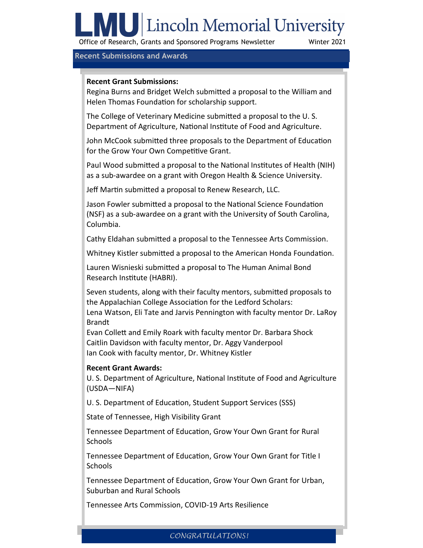# | U Lincoln Memorial University

Office of Research, Grants and Sponsored Programs Newsletter Winter 2021

#### **Recent Submissions and Awards**

#### **Recent Grant Submissions:**

Regina Burns and Bridget Welch submitted a proposal to the William and Helen Thomas Foundation for scholarship support.

The College of Veterinary Medicine submitted a proposal to the U. S. Department of Agriculture, National Institute of Food and Agriculture.

John McCook submitted three proposals to the Department of Education for the Grow Your Own Competitive Grant.

Paul Wood submitted a proposal to the National Institutes of Health (NIH) as a sub-awardee on a grant with Oregon Health & Science University.

Jeff Martin submitted a proposal to Renew Research, LLC.

Jason Fowler submitted a proposal to the National Science Foundation (NSF) as a sub-awardee on a grant with the University of South Carolina, Columbia.

Cathy Eldahan submitted a proposal to the Tennessee Arts Commission.

Whitney Kistler submitted a proposal to the American Honda Foundation.

Lauren Wisnieski submitted a proposal to The Human Animal Bond Research Institute (HABRI).

Seven students, along with their faculty mentors, submitted proposals to the Appalachian College Association for the Ledford Scholars:

Lena Watson, Eli Tate and Jarvis Pennington with faculty mentor Dr. LaRoy Brandt

Evan Collett and Emily Roark with faculty mentor Dr. Barbara Shock Caitlin Davidson with faculty mentor, Dr. Aggy Vanderpool Ian Cook with faculty mentor, Dr. Whitney Kistler

# **Recent Grant Awards:**

U. S. Department of Agriculture, National Institute of Food and Agriculture (USDA—NIFA)

U. S. Department of Education, Student Support Services (SSS)

State of Tennessee, High Visibility Grant

Tennessee Department of Education, Grow Your Own Grant for Rural **Schools** 

Tennessee Department of Education, Grow Your Own Grant for Title I Schools

Tennessee Department of Education, Grow Your Own Grant for Urban, Suburban and Rural Schools

Tennessee Arts Commission, COVID-19 Arts Resilience

# *CONGRATULATIONS!*